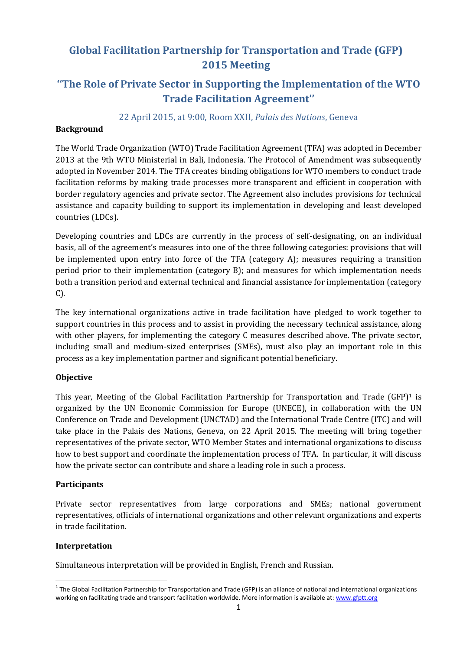# **Global Facilitation Partnership for Transportation and Trade (GFP) 2015 Meeting**

# **''The Role of Private Sector in Supporting the Implementation of the WTO Trade Facilitation Agreement''**

# 22 April 2015, at 9:00, Room XXII, *Palais des Nations*, Geneva

### **Background**

The World Trade Organization (WTO) Trade Facilitation Agreement (TFA) was adopted in December 2013 at the 9th WTO Ministerial in Bali, Indonesia. The Protocol of Amendment was subsequently adopted in November 2014. The TFA creates binding obligations for WTO members to conduct trade facilitation reforms by making trade processes more transparent and efficient in cooperation with border regulatory agencies and private sector. The Agreement also includes provisions for technical assistance and capacity building to support its implementation in developing and least developed countries (LDCs).

Developing countries and LDCs are currently in the process of self-designating, on an individual basis, all of the agreement's measures into one of the three following categories: provisions that will be implemented upon entry into force of the TFA (category A); measures requiring a transition period prior to their implementation (category B); and measures for which implementation needs both a transition period and external technical and financial assistance for implementation (category C).

The key international organizations active in trade facilitation have pledged to work together to support countries in this process and to assist in providing the necessary technical assistance, along with other players, for implementing the category C measures described above. The private sector, including small and medium-sized enterprises (SMEs), must also play an important role in this process as a key implementation partner and significant potential beneficiary.

### **Objective**

This year, Meeting of the Global Facilitation Partnership for Transportation and Trade (GFP)<sup>1</sup> is organized by the UN Economic Commission for Europe (UNECE), in collaboration with the UN Conference on Trade and Development (UNCTAD) and the International Trade Centre (ITC) and will take place in the Palais des Nations, Geneva, on 22 April 2015. The meeting will bring together representatives of the private sector, WTO Member States and international organizations to discuss how to best support and coordinate the implementation process of TFA. In particular, it will discuss how the private sector can contribute and share a leading role in such a process.

### **Participants**

Private sector representatives from large corporations and SMEs; national government representatives, officials of international organizations and other relevant organizations and experts in trade facilitation.

### **Interpretation**

**.** 

Simultaneous interpretation will be provided in English, French and Russian.

<sup>&</sup>lt;sup>1</sup> The Global Facilitation Partnership for Transportation and Trade (GFP) is an alliance of national and international organizations working on facilitating trade and transport facilitation worldwide. More information is available at: [www.gfptt.org](http://www.gfptt.org/)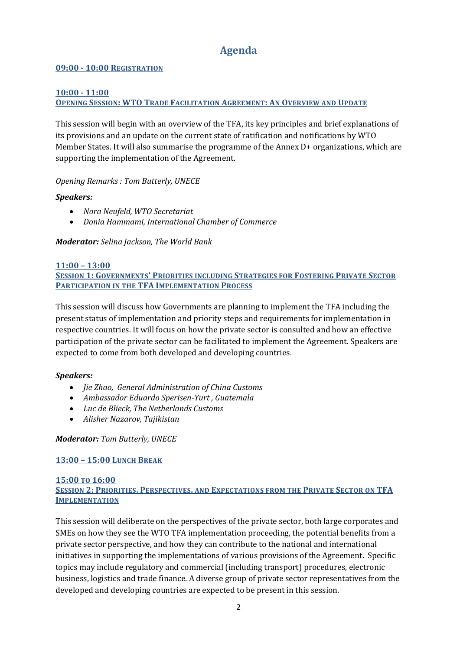# **Agenda**

### **09:00 - 10:00 REGISTRATION**

# **10:00 - 11:00**

# **OPENING SESSION: WTO TRADE FACILITATION AGREEMENT: AN OVERVIEW AND UPDATE**

This session will begin with an overview of the TFA, its key principles and brief explanations of its provisions and an update on the current state of ratification and notifications by WTO Member States. It will also summarise the programme of the Annex D+ organizations, which are supporting the implementation of the Agreement.

### *Opening Remarks : Tom Butterly, UNECE*

### *Speakers:*

- *Nora Neufeld, WTO Secretariat*
- *Donia Hammami, International Chamber of Commerce*

*Moderator: Selina Jackson, The World Bank*

### **11:00 – 13:00**

**SESSION 1: GOVERNMENTS' PRIORITIES INCLUDING STRATEGIES FOR FOSTERING PRIVATE SECTOR PARTICIPATION IN THE TFA IMPLEMENTATION PROCESS**

This session will discuss how Governments are planning to implement the TFA including the present status of implementation and priority steps and requirements for implementation in respective countries. It will focus on how the private sector is consulted and how an effective participation of the private sector can be facilitated to implement the Agreement. Speakers are expected to come from both developed and developing countries.

#### *Speakers:*

- *Jie Zhao, General Administration of China Customs*
- *Ambassador Eduardo Sperisen-Yurt , Guatemala*
- *Luc de Blieck, The Netherlands Customs*
- *Alisher Nazarov, Tajikistan*

### *Moderator: Tom Butterly, UNECE*

### **13:00 – 15:00 LUNCH BREAK**

#### **15:00 TO 16:00 SESSION 2: PRIORITIES, PERSPECTIVES, AND EXPECTATIONS FROM THE PRIVATE SECTOR ON TFA IMPLEMENTATION**

This session will deliberate on the perspectives of the private sector, both large corporates and SMEs on how they see the WTO TFA implementation proceeding, the potential benefits from a private sector perspective, and how they can contribute to the national and international initiatives in supporting the implementations of various provisions of the Agreement. Specific topics may include regulatory and commercial (including transport) procedures, electronic business, logistics and trade finance. A diverse group of private sector representatives from the developed and developing countries are expected to be present in this session.